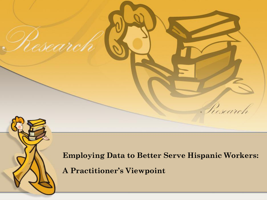

Research

**Employing Data to Better Serve Hispanic Workers:** 

Pescareli

**A Practitioner's Viewpoint**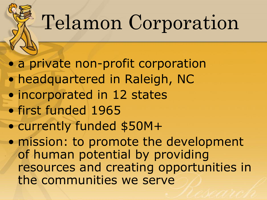# Telamon Corporation

• a private non-profit corporation

- headquartered in Raleigh, NC
- incorporated in 12 states
- first funded 1965
- currently funded \$50M+

• mission: to promote the development of human potential by providing resources and creating opportunities in the communities we serve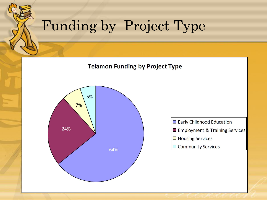## Funding by Project Type



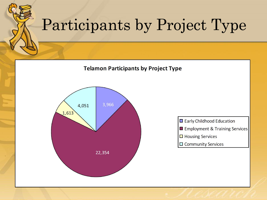## Participants by Project Type **Telamon Participants by Project Type** 3,966 4,051  $1,613$ Early Childhood Education Employment & Training Services  $\Box$  Housing Services  $\Box$  Community Services 22,354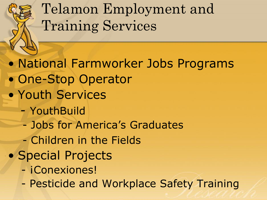Telamon Employment and Training Services

• National Farmworker Jobs Programs • One-Stop Operator • Youth Services - YouthBuild - Jobs for America's Graduates - Children in the Fields • Special Projects - ¡Conexiones! - Pesticide and Workplace Safety Training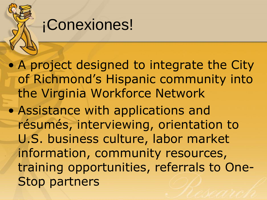## ¡Conexiones!

• A project designed to integrate the City of Richmond's Hispanic community into the Virginia Workforce Network

• Assistance with applications and résumés, interviewing, orientation to U.S. business culture, labor market information, community resources, training opportunities, referrals to One-Stop partners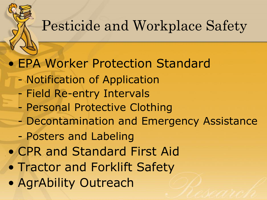## Pesticide and Workplace Safety

#### • EPA Worker Protection Standard

- Notification of Application
- Field Re-entry Intervals
- Personal Protective Clothing
- Decontamination and Emergency Assistance
- Posters and Labeling
- CPR and Standard First Aid
- Tractor and Forklift Safety
- AgrAbility Outreach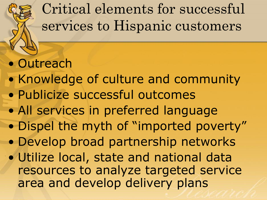

• Outreach

- Knowledge of culture and community
- Publicize successful outcomes
- All services in preferred language
- Dispel the myth of "imported poverty"
- Develop broad partnership networks
- area and develop delivery plans • Utilize local, state and national data resources to analyze targeted service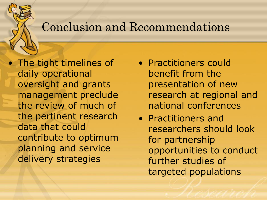#### Conclusion and Recommendations

 the review of much of delivery strategies • The tight timelines of daily operational oversight and grants management preclude the pertinent research data that could contribute to optimum planning and service

- presentation of new • Practitioners could benefit from the research at regional and national conferences
- • Practitioners and researchers should look for partnership opportunities to conduct further studies of targeted populations